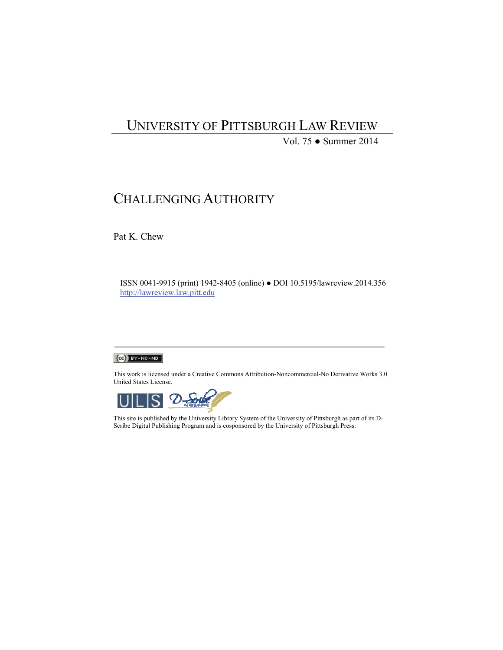# UNIVERSITY OF PITTSBURGH LAW REVIEW

Vol. 75 ● Summer 2014

## CHALLENGING AUTHORITY

Pat K. Chew

ISSN 0041-9915 (print) 1942-8405 (online) ● DOI 10.5195/lawreview.2014.356 http://lawreview.law.pitt.edu

#### $(C<sub>c</sub>)$  BY-NC-ND

This work is licensed under a Creative Commons Attribution-Noncommercial-No Derivative Works 3.0 United States License.



This site is published by the University Library System of the University of Pittsburgh as part of its D-Scribe Digital Publishing Program and is cosponsored by the University of Pittsburgh Press.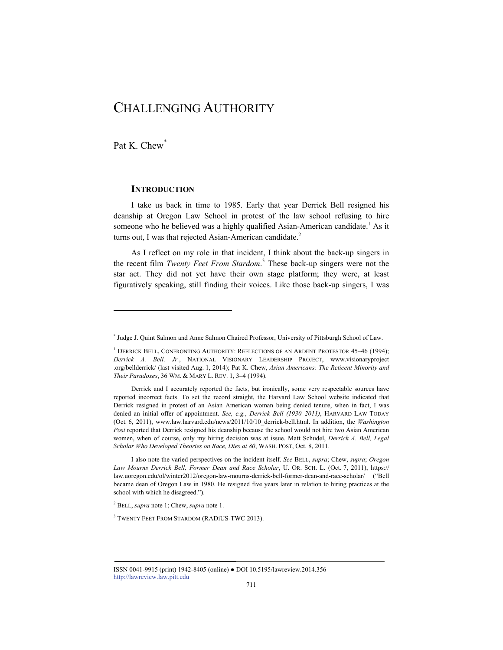## CHALLENGING AUTHORITY

Pat K. Chew<sup>\*</sup>

l

## **INTRODUCTION**

I take us back in time to 1985. Early that year Derrick Bell resigned his deanship at Oregon Law School in protest of the law school refusing to hire someone who he believed was a highly qualified Asian-American candidate.<sup>1</sup> As it turns out, I was that rejected Asian-American candidate.<sup>2</sup>

As I reflect on my role in that incident, I think about the back-up singers in the recent film *Twenty Feet From Stardom*. 3 These back-up singers were not the star act. They did not yet have their own stage platform; they were, at least figuratively speaking, still finding their voices. Like those back-up singers, I was

2 BELL, *supra* note 1; Chew, *supra* note 1.

<sup>3</sup> TWENTY FEET FROM STARDOM (RADIUS-TWC 2013).

<sup>\*</sup> Judge J. Quint Salmon and Anne Salmon Chaired Professor, University of Pittsburgh School of Law.

<sup>&</sup>lt;sup>1</sup> DERRICK BELL, CONFRONTING AUTHORITY: REFLECTIONS OF AN ARDENT PROTESTOR 45–46 (1994); *Derrick A. Bell, Jr.*, NATIONAL VISIONARY LEADERSHIP PROJECT, www.visionaryproject .org/bellderrick/ (last visited Aug. 1, 2014); Pat K. Chew, *Asian Americans: The Reticent Minority and Their Paradoxes*, 36 WM. & MARY L. REV. 1, 3–4 (1994).

Derrick and I accurately reported the facts, but ironically, some very respectable sources have reported incorrect facts. To set the record straight, the Harvard Law School website indicated that Derrick resigned in protest of an Asian American woman being denied tenure, when in fact, I was denied an initial offer of appointment. *See, e.g.*, *Derrick Bell (1930–2011)*, HARVARD LAW TODAY (Oct. 6, 2011), www.law.harvard.edu/news/2011/10/10\_derrick-bell.html. In addition, the *Washington Post* reported that Derrick resigned his deanship because the school would not hire two Asian American women, when of course, only my hiring decision was at issue. Matt Schudel, *Derrick A. Bell, Legal Scholar Who Developed Theories on Race, Dies at 80*, WASH. POST, Oct. 8, 2011.

I also note the varied perspectives on the incident itself. *See* BELL, *supra*; Chew, *supra*; *Oregon Law Mourns Derrick Bell, Former Dean and Race Scholar*, U. OR. SCH. L. (Oct. 7, 2011), https:// law.uoregon.edu/ol/winter2012/oregon-law-mourns-derrick-bell-former-dean-and-race-scholar/ ("Bell became dean of Oregon Law in 1980. He resigned five years later in relation to hiring practices at the school with which he disagreed.").

ISSN 0041-9915 (print) 1942-8405 (online) ● DOI 10.5195/lawreview.2014.356 http://lawreview.law.pitt.edu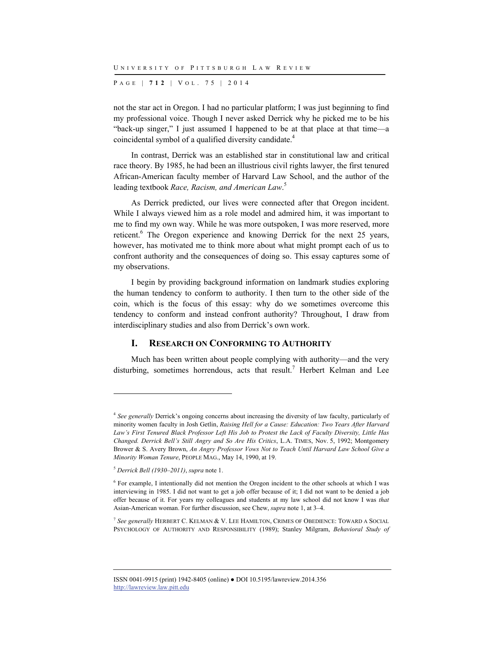P AGE | **712** | V O L . 7 5 | 2014

not the star act in Oregon. I had no particular platform; I was just beginning to find my professional voice. Though I never asked Derrick why he picked me to be his "back-up singer," I just assumed I happened to be at that place at that time—a coincidental symbol of a qualified diversity candidate.<sup>4</sup>

In contrast, Derrick was an established star in constitutional law and critical race theory. By 1985, he had been an illustrious civil rights lawyer, the first tenured African-American faculty member of Harvard Law School, and the author of the leading textbook *Race, Racism, and American Law*. 5

As Derrick predicted, our lives were connected after that Oregon incident. While I always viewed him as a role model and admired him, it was important to me to find my own way. While he was more outspoken, I was more reserved, more reticent.<sup>6</sup> The Oregon experience and knowing Derrick for the next 25 years, however, has motivated me to think more about what might prompt each of us to confront authority and the consequences of doing so. This essay captures some of my observations.

I begin by providing background information on landmark studies exploring the human tendency to conform to authority. I then turn to the other side of the coin, which is the focus of this essay: why do we sometimes overcome this tendency to conform and instead confront authority? Throughout, I draw from interdisciplinary studies and also from Derrick's own work.

#### **I. RESEARCH ON CONFORMING TO AUTHORITY**

Much has been written about people complying with authority—and the very disturbing, sometimes horrendous, acts that result.<sup>7</sup> Herbert Kelman and Lee

l

<sup>7</sup> *See generally* HERBERT C. KELMAN & V. LEE HAMILTON, CRIMES OF OBEDIENCE: TOWARD A SOCIAL PSYCHOLOGY OF AUTHORITY AND RESPONSIBILITY (1989); Stanley Milgram, *Behavioral Study of* 

<sup>4</sup> *See generally* Derrick's ongoing concerns about increasing the diversity of law faculty, particularly of minority women faculty in Josh Getlin, *Raising Hell for a Cause: Education: Two Years After Harvard Law's First Tenured Black Professor Left His Job to Protest the Lack of Faculty Diversity, Little Has Changed. Derrick Bell's Still Angry and So Are His Critics*, L.A. TIMES, Nov. 5, 1992; Montgomery Brower & S. Avery Brown, *An Angry Professor Vows Not to Teach Until Harvard Law School Give a Minority Woman Tenure*, PEOPLE MAG., May 14, 1990, at 19.

<sup>5</sup> *Derrick Bell (1930–2011)*, *supra* note 1.

<sup>6</sup> For example, I intentionally did not mention the Oregon incident to the other schools at which I was interviewing in 1985. I did not want to get a job offer because of it; I did not want to be denied a job offer because of it. For years my colleagues and students at my law school did not know I was *that* Asian-American woman. For further discussion, see Chew, *supra* note 1, at 3–4.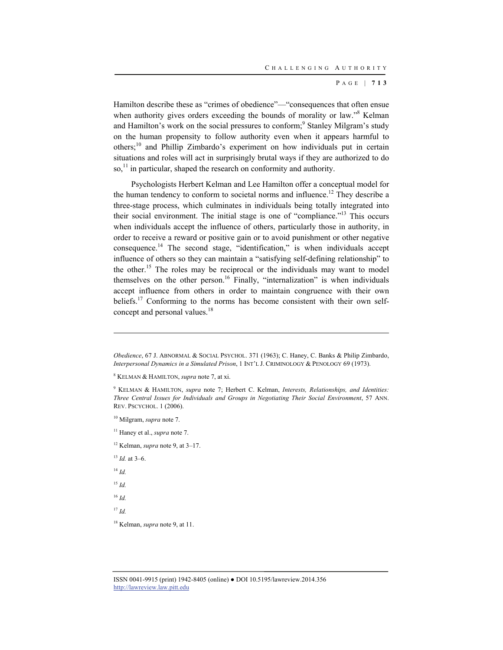Hamilton describe these as "crimes of obedience"—"consequences that often ensue when authority gives orders exceeding the bounds of morality or law."<sup>8</sup> Kelman and Hamilton's work on the social pressures to conform;<sup>9</sup> Stanley Milgram's study on the human propensity to follow authority even when it appears harmful to others;10 and Phillip Zimbardo's experiment on how individuals put in certain situations and roles will act in surprisingly brutal ways if they are authorized to do so,<sup>11</sup> in particular, shaped the research on conformity and authority.

Psychologists Herbert Kelman and Lee Hamilton offer a conceptual model for the human tendency to conform to societal norms and influence.<sup>12</sup> They describe a three-stage process, which culminates in individuals being totally integrated into their social environment. The initial stage is one of "compliance."13 This occurs when individuals accept the influence of others, particularly those in authority, in order to receive a reward or positive gain or to avoid punishment or other negative consequence.14 The second stage, "identification," is when individuals accept influence of others so they can maintain a "satisfying self-defining relationship" to the other.<sup>15</sup> The roles may be reciprocal or the individuals may want to model themselves on the other person.<sup>16</sup> Finally, "internalization" is when individuals accept influence from others in order to maintain congruence with their own beliefs.<sup>17</sup> Conforming to the norms has become consistent with their own selfconcept and personal values.<sup>18</sup>

10 Milgram, *supra* note 7.

11 Haney et al., *supra* note 7.

12 Kelman, *supra* note 9, at 3–17.

 $13$  *Id.* at 3–6.

<sup>14</sup> *Id.*

l

<sup>15</sup> *Id.*

<sup>16</sup> *Id.*

<sup>17</sup> *Id.*

18 Kelman, *supra* note 9, at 11.

*Obedience*, 67 J. ABNORMAL & SOCIAL PSYCHOL. 371 (1963); C. Haney, C. Banks & Philip Zimbardo, *Interpersonal Dynamics in a Simulated Prison*, 1 INT'L J. CRIMINOLOGY & PENOLOGY 69 (1973).

<sup>8</sup> KELMAN & HAMILTON, *supra* note 7, at xi.

<sup>9</sup> KELMAN & HAMILTON, *supra* note 7; Herbert C. Kelman, *Interests, Relationships, and Identities: Three Central Issues for Individuals and Groups in Negotiating Their Social Environment*, 57 ANN. REV. PSCYCHOL. 1 (2006).

ISSN 0041-9915 (print) 1942-8405 (online) ● DOI 10.5195/lawreview.2014.356 http://lawreview.law.pitt.edu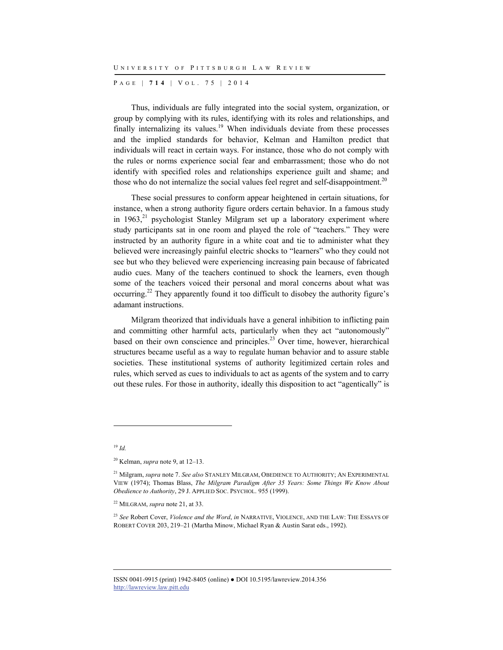P AGE | **714** | V O L . 7 5 | 2014

Thus, individuals are fully integrated into the social system, organization, or group by complying with its rules, identifying with its roles and relationships, and finally internalizing its values.<sup>19</sup> When individuals deviate from these processes and the implied standards for behavior, Kelman and Hamilton predict that individuals will react in certain ways. For instance, those who do not comply with the rules or norms experience social fear and embarrassment; those who do not identify with specified roles and relationships experience guilt and shame; and those who do not internalize the social values feel regret and self-disappointment.<sup>20</sup>

These social pressures to conform appear heightened in certain situations, for instance, when a strong authority figure orders certain behavior. In a famous study in  $1963$ <sup>21</sup> psychologist Stanley Milgram set up a laboratory experiment where study participants sat in one room and played the role of "teachers." They were instructed by an authority figure in a white coat and tie to administer what they believed were increasingly painful electric shocks to "learners" who they could not see but who they believed were experiencing increasing pain because of fabricated audio cues. Many of the teachers continued to shock the learners, even though some of the teachers voiced their personal and moral concerns about what was occurring.22 They apparently found it too difficult to disobey the authority figure's adamant instructions.

Milgram theorized that individuals have a general inhibition to inflicting pain and committing other harmful acts, particularly when they act "autonomously" based on their own conscience and principles. $23$  Over time, however, hierarchical structures became useful as a way to regulate human behavior and to assure stable societies. These institutional systems of authority legitimized certain roles and rules, which served as cues to individuals to act as agents of the system and to carry out these rules. For those in authority, ideally this disposition to act "agentically" is

<sup>19</sup> *Id.*

l

<sup>20</sup> Kelman, *supra* note 9, at 12–13.

<sup>21</sup> Milgram, *supra* note 7. *See also* STANLEY MILGRAM, OBEDIENCE TO AUTHORITY; AN EXPERIMENTAL VIEW (1974); Thomas Blass, *The Milgram Paradigm After 35 Years: Some Things We Know About Obedience to Authority*, 29 J. APPLIED SOC. PSYCHOL. 955 (1999).

<sup>22</sup> MILGRAM, *supra* note 21, at 33.

<sup>23</sup> *See* Robert Cover, *Violence and the Word*, *in* NARRATIVE, VIOLENCE, AND THE LAW: THE ESSAYS OF ROBERT COVER 203, 219–21 (Martha Minow, Michael Ryan & Austin Sarat eds., 1992).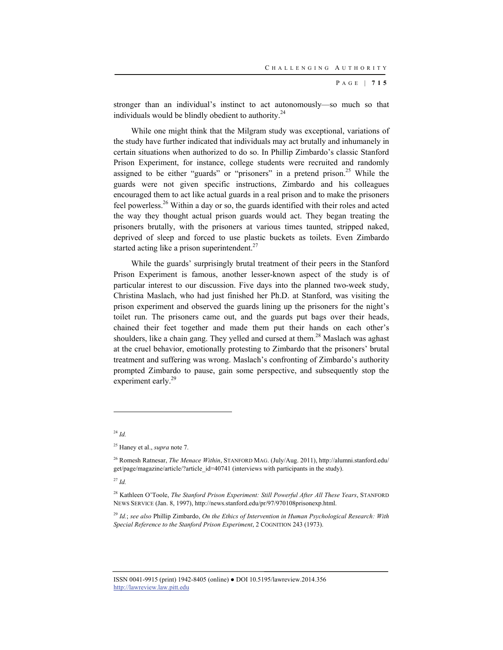stronger than an individual's instinct to act autonomously—so much so that individuals would be blindly obedient to authority.<sup>24</sup>

While one might think that the Milgram study was exceptional, variations of the study have further indicated that individuals may act brutally and inhumanely in certain situations when authorized to do so. In Phillip Zimbardo's classic Stanford Prison Experiment, for instance, college students were recruited and randomly assigned to be either "guards" or "prisoners" in a pretend prison.<sup>25</sup> While the guards were not given specific instructions, Zimbardo and his colleagues encouraged them to act like actual guards in a real prison and to make the prisoners feel powerless.26 Within a day or so, the guards identified with their roles and acted the way they thought actual prison guards would act. They began treating the prisoners brutally, with the prisoners at various times taunted, stripped naked, deprived of sleep and forced to use plastic buckets as toilets. Even Zimbardo started acting like a prison superintendent.<sup>27</sup>

While the guards' surprisingly brutal treatment of their peers in the Stanford Prison Experiment is famous, another lesser-known aspect of the study is of particular interest to our discussion. Five days into the planned two-week study, Christina Maslach, who had just finished her Ph.D. at Stanford, was visiting the prison experiment and observed the guards lining up the prisoners for the night's toilet run. The prisoners came out, and the guards put bags over their heads, chained their feet together and made them put their hands on each other's shoulders, like a chain gang. They yelled and cursed at them.<sup>28</sup> Maslach was aghast at the cruel behavior, emotionally protesting to Zimbardo that the prisoners' brutal treatment and suffering was wrong. Maslach's confronting of Zimbardo's authority prompted Zimbardo to pause, gain some perspective, and subsequently stop the experiment early.<sup>29</sup>

<sup>24</sup> *Id.*

l

<sup>27</sup> *Id.*

<sup>25</sup> Haney et al., *supra* note 7.

<sup>26</sup> Romesh Ratnesar, *The Menace Within*, STANFORD MAG. (July/Aug. 2011), http://alumni.stanford.edu/ get/page/magazine/article/?article\_id=40741 (interviews with participants in the study).

<sup>28</sup> Kathleen O'Toole, *The Stanford Prison Experiment: Still Powerful After All These Years*, STANFORD NEWS SERVICE (Jan. 8, 1997), http://news.stanford.edu/pr/97/970108prisonexp.html.

<sup>29</sup> *Id.*; *see also* Phillip Zimbardo, *On the Ethics of Intervention in Human Psychological Research: With Special Reference to the Stanford Prison Experiment*, 2 COGNITION 243 (1973).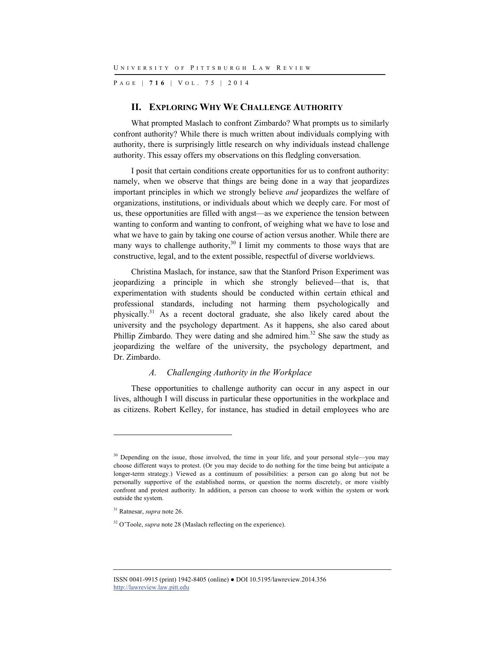P AGE | **716** | V O L . 7 5 | 2014

#### **II. EXPLORING WHY WE CHALLENGE AUTHORITY**

What prompted Maslach to confront Zimbardo? What prompts us to similarly confront authority? While there is much written about individuals complying with authority, there is surprisingly little research on why individuals instead challenge authority. This essay offers my observations on this fledgling conversation.

I posit that certain conditions create opportunities for us to confront authority: namely, when we observe that things are being done in a way that jeopardizes important principles in which we strongly believe *and* jeopardizes the welfare of organizations, institutions, or individuals about which we deeply care. For most of us, these opportunities are filled with angst—as we experience the tension between wanting to conform and wanting to confront, of weighing what we have to lose and what we have to gain by taking one course of action versus another. While there are many ways to challenge authority,  $30 \text{ I}$  limit my comments to those ways that are constructive, legal, and to the extent possible, respectful of diverse worldviews.

Christina Maslach, for instance, saw that the Stanford Prison Experiment was jeopardizing a principle in which she strongly believed—that is, that experimentation with students should be conducted within certain ethical and professional standards, including not harming them psychologically and physically.31 As a recent doctoral graduate, she also likely cared about the university and the psychology department. As it happens, she also cared about Phillip Zimbardo. They were dating and she admired him.<sup>32</sup> She saw the study as jeopardizing the welfare of the university, the psychology department, and Dr. Zimbardo.

#### *A. Challenging Authority in the Workplace*

These opportunities to challenge authority can occur in any aspect in our lives, although I will discuss in particular these opportunities in the workplace and as citizens. Robert Kelley, for instance, has studied in detail employees who are

<sup>&</sup>lt;sup>30</sup> Depending on the issue, those involved, the time in your life, and your personal style—you may choose different ways to protest. (Or you may decide to do nothing for the time being but anticipate a longer-term strategy.) Viewed as a continuum of possibilities: a person can go along but not be personally supportive of the established norms, or question the norms discretely, or more visibly confront and protest authority. In addition, a person can choose to work within the system or work outside the system.

<sup>31</sup> Ratnesar, *supra* note 26.

<sup>&</sup>lt;sup>32</sup> O'Toole, *supra* note 28 (Maslach reflecting on the experience).

ISSN 0041-9915 (print) 1942-8405 (online) ● DOI 10.5195/lawreview.2014.356 http://lawreview.law.pitt.edu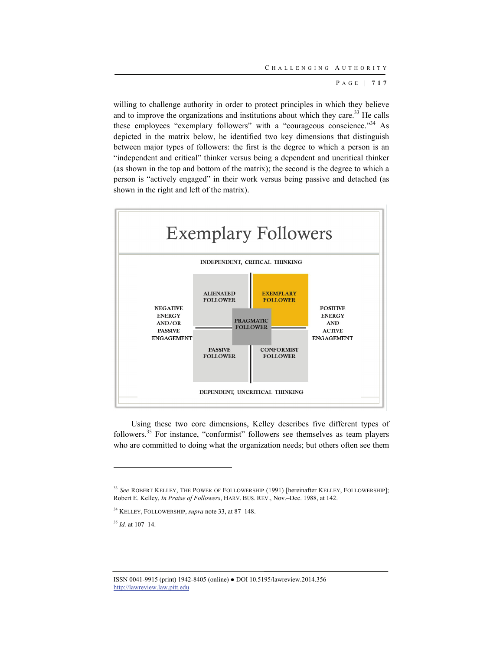willing to challenge authority in order to protect principles in which they believe and to improve the organizations and institutions about which they care.<sup>33</sup> He calls these employees "exemplary followers" with a "courageous conscience."<sup>34</sup> As depicted in the matrix below, he identified two key dimensions that distinguish between major types of followers: the first is the degree to which a person is an "independent and critical" thinker versus being a dependent and uncritical thinker (as shown in the top and bottom of the matrix); the second is the degree to which a person is "actively engaged" in their work versus being passive and detached (as shown in the right and left of the matrix).



Using these two core dimensions, Kelley describes five different types of followers.35 For instance, "conformist" followers see themselves as team players who are committed to doing what the organization needs; but others often see them

<sup>35</sup> *Id.* at 107–14.

l

<sup>33</sup> *See* ROBERT KELLEY, THE POWER OF FOLLOWERSHIP (1991) [hereinafter KELLEY, FOLLOWERSHIP]; Robert E. Kelley, *In Praise of Followers*, HARV. BUS. REV., Nov.–Dec. 1988, at 142.

<sup>34</sup> KELLEY, FOLLOWERSHIP, *supra* note 33, at 87–148.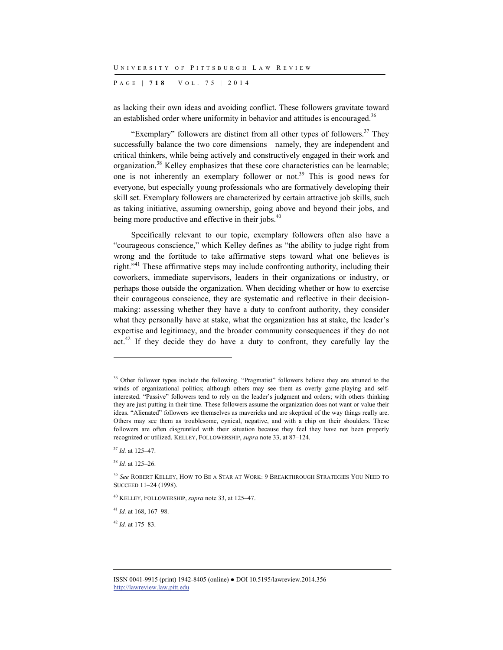P AGE | **718** | V O L . 7 5 | 2014

as lacking their own ideas and avoiding conflict. These followers gravitate toward an established order where uniformity in behavior and attitudes is encouraged.<sup>36</sup>

"Exemplary" followers are distinct from all other types of followers.<sup>37</sup> They successfully balance the two core dimensions—namely, they are independent and critical thinkers, while being actively and constructively engaged in their work and organization.<sup>38</sup> Kelley emphasizes that these core characteristics can be learnable; one is not inherently an exemplary follower or not.<sup>39</sup> This is good news for everyone, but especially young professionals who are formatively developing their skill set. Exemplary followers are characterized by certain attractive job skills, such as taking initiative, assuming ownership, going above and beyond their jobs, and being more productive and effective in their jobs.<sup>40</sup>

Specifically relevant to our topic, exemplary followers often also have a "courageous conscience," which Kelley defines as "the ability to judge right from wrong and the fortitude to take affirmative steps toward what one believes is right."41 These affirmative steps may include confronting authority, including their coworkers, immediate supervisors, leaders in their organizations or industry, or perhaps those outside the organization. When deciding whether or how to exercise their courageous conscience, they are systematic and reflective in their decisionmaking: assessing whether they have a duty to confront authority, they consider what they personally have at stake, what the organization has at stake, the leader's expertise and legitimacy, and the broader community consequences if they do not act.<sup>42</sup> If they decide they do have a duty to confront, they carefully lay the

l

<sup>42</sup> *Id.* at 175–83.

<sup>&</sup>lt;sup>36</sup> Other follower types include the following. "Pragmatist" followers believe they are attuned to the winds of organizational politics; although others may see them as overly game-playing and selfinterested. "Passive" followers tend to rely on the leader's judgment and orders; with others thinking they are just putting in their time. These followers assume the organization does not want or value their ideas. "Alienated" followers see themselves as mavericks and are skeptical of the way things really are. Others may see them as troublesome, cynical, negative, and with a chip on their shoulders. These followers are often disgruntled with their situation because they feel they have not been properly recognized or utilized. KELLEY, FOLLOWERSHIP, *supra* note 33, at 87–124.

<sup>37</sup> *Id.* at 125–47.

<sup>38</sup> *Id.* at 125–26.

<sup>39</sup> *See* ROBERT KELLEY, HOW TO BE A STAR AT WORK: 9 BREAKTHROUGH STRATEGIES YOU NEED TO SUCCEED 11–24 (1998).

<sup>40</sup> KELLEY, FOLLOWERSHIP, *supra* note 33, at 125–47.

<sup>41</sup> *Id.* at 168, 167–98.

ISSN 0041-9915 (print) 1942-8405 (online) ● DOI 10.5195/lawreview.2014.356 http://lawreview.law.pitt.edu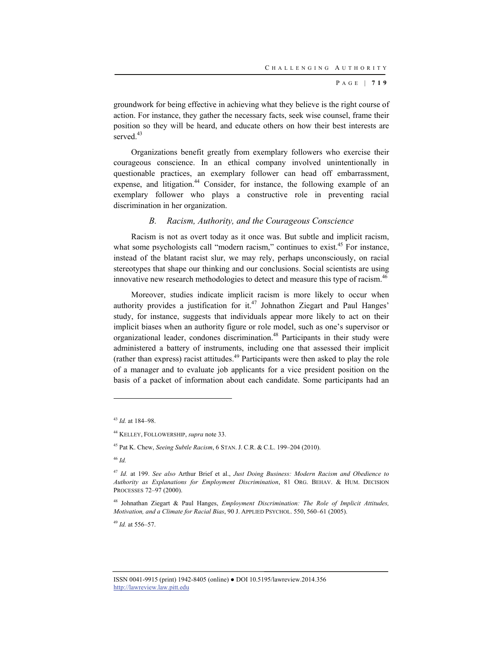groundwork for being effective in achieving what they believe is the right course of action. For instance, they gather the necessary facts, seek wise counsel, frame their position so they will be heard, and educate others on how their best interests are served.<sup>43</sup>

Organizations benefit greatly from exemplary followers who exercise their courageous conscience. In an ethical company involved unintentionally in questionable practices, an exemplary follower can head off embarrassment, expense, and litigation.<sup>44</sup> Consider, for instance, the following example of an exemplary follower who plays a constructive role in preventing racial discrimination in her organization.

#### *B. Racism, Authority, and the Courageous Conscience*

Racism is not as overt today as it once was. But subtle and implicit racism, what some psychologists call "modern racism," continues to exist.<sup>45</sup> For instance, instead of the blatant racist slur, we may rely, perhaps unconsciously, on racial stereotypes that shape our thinking and our conclusions. Social scientists are using innovative new research methodologies to detect and measure this type of racism.<sup>46</sup>

Moreover, studies indicate implicit racism is more likely to occur when authority provides a justification for it.<sup>47</sup> Johnathon Ziegart and Paul Hanges' study, for instance, suggests that individuals appear more likely to act on their implicit biases when an authority figure or role model, such as one's supervisor or organizational leader, condones discrimination.48 Participants in their study were administered a battery of instruments, including one that assessed their implicit (rather than express) racist attitudes. $49$  Participants were then asked to play the role of a manager and to evaluate job applicants for a vice president position on the basis of a packet of information about each candidate. Some participants had an

<sup>46</sup> *Id.*

l

<sup>49</sup> *Id.* at 556–57.

<sup>43</sup> *Id.* at 184–98.

<sup>44</sup> KELLEY, FOLLOWERSHIP, *supra* note 33.

<sup>45</sup> Pat K. Chew, *Seeing Subtle Racism*, 6 STAN. J. C.R. & C.L. 199–204 (2010).

<sup>47</sup> *Id.* at 199. *See also* Arthur Brief et al., *Just Doing Business: Modern Racism and Obedience to Authority as Explanations for Employment Discrimination*, 81 ORG. BEHAV. & HUM. DECISION PROCESSES 72–97 (2000).

<sup>48</sup> Johnathan Ziegart & Paul Hanges, *Employment Discrimination: The Role of Implicit Attitudes, Motivation, and a Climate for Racial Bias*, 90 J. APPLIED PSYCHOL. 550, 560–61 (2005).

ISSN 0041-9915 (print) 1942-8405 (online) ● DOI 10.5195/lawreview.2014.356 http://lawreview.law.pitt.edu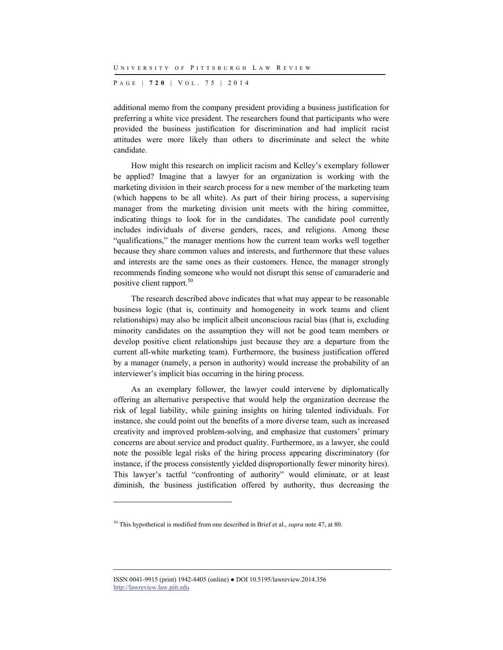P AGE | **720** | V O L . 7 5 | 2014

additional memo from the company president providing a business justification for preferring a white vice president. The researchers found that participants who were provided the business justification for discrimination and had implicit racist attitudes were more likely than others to discriminate and select the white candidate.

How might this research on implicit racism and Kelley's exemplary follower be applied? Imagine that a lawyer for an organization is working with the marketing division in their search process for a new member of the marketing team (which happens to be all white). As part of their hiring process, a supervising manager from the marketing division unit meets with the hiring committee, indicating things to look for in the candidates. The candidate pool currently includes individuals of diverse genders, races, and religions. Among these "qualifications," the manager mentions how the current team works well together because they share common values and interests, and furthermore that these values and interests are the same ones as their customers. Hence, the manager strongly recommends finding someone who would not disrupt this sense of camaraderie and positive client rapport.<sup>50</sup>

The research described above indicates that what may appear to be reasonable business logic (that is, continuity and homogeneity in work teams and client relationships) may also be implicit albeit unconscious racial bias (that is, excluding minority candidates on the assumption they will not be good team members or develop positive client relationships just because they are a departure from the current all-white marketing team). Furthermore, the business justification offered by a manager (namely, a person in authority) would increase the probability of an interviewer's implicit bias occurring in the hiring process.

As an exemplary follower, the lawyer could intervene by diplomatically offering an alternative perspective that would help the organization decrease the risk of legal liability, while gaining insights on hiring talented individuals. For instance, she could point out the benefits of a more diverse team, such as increased creativity and improved problem-solving, and emphasize that customers' primary concerns are about service and product quality. Furthermore, as a lawyer, she could note the possible legal risks of the hiring process appearing discriminatory (for instance, if the process consistently yielded disproportionally fewer minority hires). This lawyer's tactful "confronting of authority" would eliminate, or at least diminish, the business justification offered by authority, thus decreasing the

<sup>50</sup> This hypothetical is modified from one described in Brief et al., *supra* note 47, at 80.

ISSN 0041-9915 (print) 1942-8405 (online) ● DOI 10.5195/lawreview.2014.356 http://lawreview.law.pitt.edu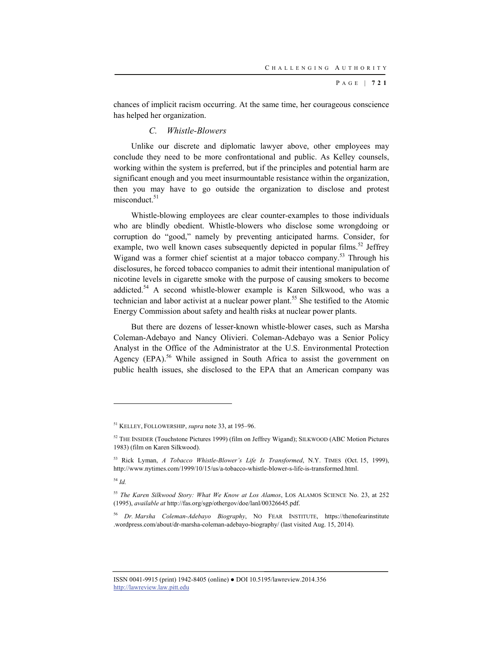chances of implicit racism occurring. At the same time, her courageous conscience has helped her organization.

## *C. Whistle-Blowers*

Unlike our discrete and diplomatic lawyer above, other employees may conclude they need to be more confrontational and public. As Kelley counsels, working within the system is preferred, but if the principles and potential harm are significant enough and you meet insurmountable resistance within the organization, then you may have to go outside the organization to disclose and protest  $misconduct.<sup>51</sup>$ 

Whistle-blowing employees are clear counter-examples to those individuals who are blindly obedient. Whistle-blowers who disclose some wrongdoing or corruption do "good," namely by preventing anticipated harms. Consider, for example, two well known cases subsequently depicted in popular films.<sup>52</sup> Jeffrey Wigand was a former chief scientist at a major tobacco company.<sup>53</sup> Through his disclosures, he forced tobacco companies to admit their intentional manipulation of nicotine levels in cigarette smoke with the purpose of causing smokers to become addicted.<sup>54</sup> A second whistle-blower example is Karen Silkwood, who was a technician and labor activist at a nuclear power plant.<sup>55</sup> She testified to the Atomic Energy Commission about safety and health risks at nuclear power plants.

But there are dozens of lesser-known whistle-blower cases, such as Marsha Coleman-Adebayo and Nancy Olivieri. Coleman-Adebayo was a Senior Policy Analyst in the Office of the Administrator at the U.S. Environmental Protection Agency  $(EPA)$ .<sup>56</sup> While assigned in South Africa to assist the government on public health issues, she disclosed to the EPA that an American company was

<sup>54</sup> *Id.*

l

<sup>51</sup> KELLEY, FOLLOWERSHIP, *supra* note 33, at 195–96.

<sup>52</sup> THE INSIDER (Touchstone Pictures 1999) (film on Jeffrey Wigand); SILKWOOD (ABC Motion Pictures 1983) (film on Karen Silkwood).

<sup>53</sup> Rick Lyman, *A Tobacco Whistle-Blower's Life Is Transformed*, N.Y. TIMES (Oct. 15, 1999), http://www.nytimes.com/1999/10/15/us/a-tobacco-whistle-blower-s-life-is-transformed.html.

<sup>55</sup> *The Karen Silkwood Story: What We Know at Los Alamos*, LOS ALAMOS SCIENCE No. 23, at 252 (1995), *available at* http://fas.org/sgp/othergov/doe/lanl/00326645.pdf.

<sup>56</sup> *Dr. Marsha Coleman-Adebayo Biography*, NO FEAR INSTITUTE, https://thenofearinstitute .wordpress.com/about/dr-marsha-coleman-adebayo-biography/ (last visited Aug. 15, 2014).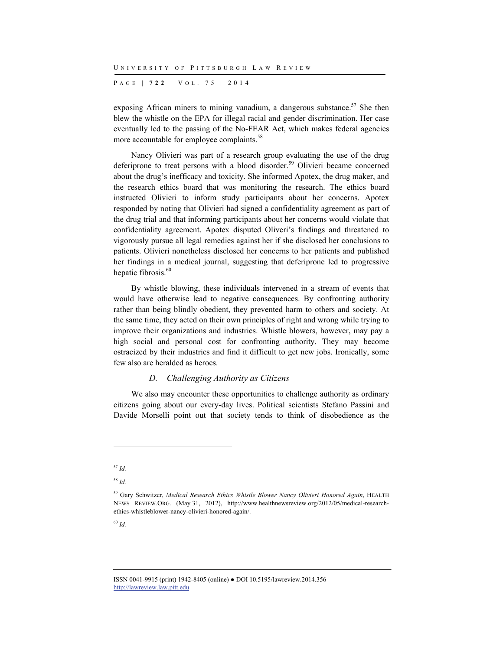P AGE | **722** | V O L . 7 5 | 2014

exposing African miners to mining vanadium, a dangerous substance.<sup>57</sup> She then blew the whistle on the EPA for illegal racial and gender discrimination. Her case eventually led to the passing of the No-FEAR Act, which makes federal agencies more accountable for employee complaints.<sup>58</sup>

Nancy Olivieri was part of a research group evaluating the use of the drug deferiprone to treat persons with a blood disorder.<sup>59</sup> Olivieri became concerned about the drug's inefficacy and toxicity. She informed Apotex, the drug maker, and the research ethics board that was monitoring the research. The ethics board instructed Olivieri to inform study participants about her concerns. Apotex responded by noting that Olivieri had signed a confidentiality agreement as part of the drug trial and that informing participants about her concerns would violate that confidentiality agreement. Apotex disputed Oliveri's findings and threatened to vigorously pursue all legal remedies against her if she disclosed her conclusions to patients. Olivieri nonetheless disclosed her concerns to her patients and published her findings in a medical journal, suggesting that deferiprone led to progressive hepatic fibrosis.<sup>60</sup>

By whistle blowing, these individuals intervened in a stream of events that would have otherwise lead to negative consequences. By confronting authority rather than being blindly obedient, they prevented harm to others and society. At the same time, they acted on their own principles of right and wrong while trying to improve their organizations and industries. Whistle blowers, however, may pay a high social and personal cost for confronting authority. They may become ostracized by their industries and find it difficult to get new jobs. Ironically, some few also are heralded as heroes.

#### *D. Challenging Authority as Citizens*

We also may encounter these opportunities to challenge authority as ordinary citizens going about our every-day lives. Political scientists Stefano Passini and Davide Morselli point out that society tends to think of disobedience as the

l

<sup>58</sup> *Id.*

<sup>60</sup> *Id.*

<sup>57</sup> *Id.*

<sup>59</sup> Gary Schwitzer, *Medical Research Ethics Whistle Blower Nancy Olivieri Honored Again*, HEALTH NEWS REVIEW.ORG. (May 31, 2012), http://www.healthnewsreview.org/2012/05/medical-researchethics-whistleblower-nancy-olivieri-honored-again/.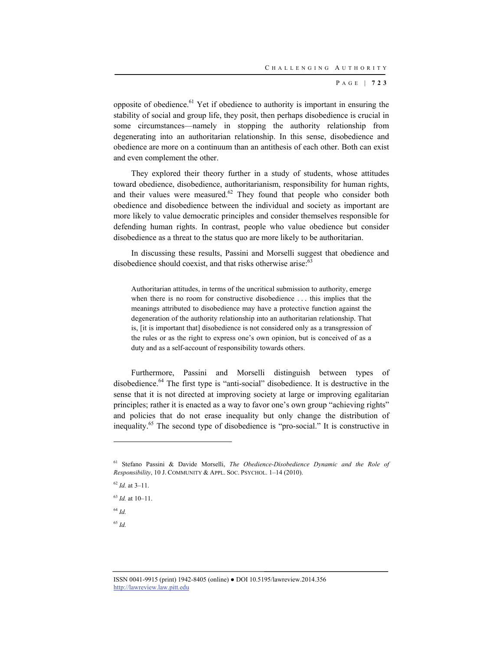opposite of obedience. $61$  Yet if obedience to authority is important in ensuring the stability of social and group life, they posit, then perhaps disobedience is crucial in some circumstances—namely in stopping the authority relationship from degenerating into an authoritarian relationship. In this sense, disobedience and obedience are more on a continuum than an antithesis of each other. Both can exist and even complement the other.

They explored their theory further in a study of students, whose attitudes toward obedience, disobedience, authoritarianism, responsibility for human rights, and their values were measured. $62$  They found that people who consider both obedience and disobedience between the individual and society as important are more likely to value democratic principles and consider themselves responsible for defending human rights. In contrast, people who value obedience but consider disobedience as a threat to the status quo are more likely to be authoritarian.

In discussing these results, Passini and Morselli suggest that obedience and disobedience should coexist, and that risks otherwise arise: $63$ 

Authoritarian attitudes, in terms of the uncritical submission to authority, emerge when there is no room for constructive disobedience . . . this implies that the meanings attributed to disobedience may have a protective function against the degeneration of the authority relationship into an authoritarian relationship. That is, [it is important that] disobedience is not considered only as a transgression of the rules or as the right to express one's own opinion, but is conceived of as a duty and as a self-account of responsibility towards others.

Furthermore, Passini and Morselli distinguish between types of disobedience.<sup>64</sup> The first type is "anti-social" disobedience. It is destructive in the sense that it is not directed at improving society at large or improving egalitarian principles; rather it is enacted as a way to favor one's own group "achieving rights" and policies that do not erase inequality but only change the distribution of inequality.65 The second type of disobedience is "pro-social." It is constructive in

<sup>62</sup> *Id.* at 3–11.

<sup>63</sup> *Id.* at 10–11.

<sup>64</sup> *Id.*

l

<sup>65</sup> *Id.*

<sup>61</sup> Stefano Passini & Davide Morselli, *The Obedience-Disobedience Dynamic and the Role of Responsibility*, 10 J. COMMUNITY & APPL. SOC. PSYCHOL. 1–14 (2010).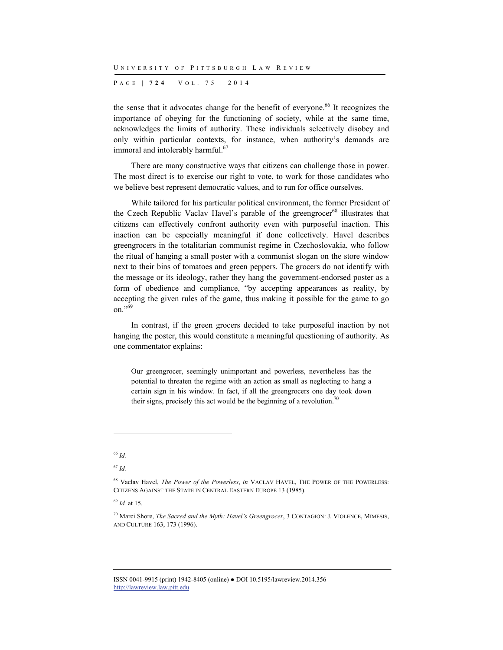P AGE | **724** | V O L . 7 5 | 2014

the sense that it advocates change for the benefit of everyone.<sup>66</sup> It recognizes the importance of obeying for the functioning of society, while at the same time, acknowledges the limits of authority. These individuals selectively disobey and only within particular contexts, for instance, when authority's demands are immoral and intolerably harmful.<sup>67</sup>

There are many constructive ways that citizens can challenge those in power. The most direct is to exercise our right to vote, to work for those candidates who we believe best represent democratic values, and to run for office ourselves.

While tailored for his particular political environment, the former President of the Czech Republic Vaclav Havel's parable of the greengrocer<sup>68</sup> illustrates that citizens can effectively confront authority even with purposeful inaction. This inaction can be especially meaningful if done collectively. Havel describes greengrocers in the totalitarian communist regime in Czechoslovakia, who follow the ritual of hanging a small poster with a communist slogan on the store window next to their bins of tomatoes and green peppers. The grocers do not identify with the message or its ideology, rather they hang the government-endorsed poster as a form of obedience and compliance, "by accepting appearances as reality, by accepting the given rules of the game, thus making it possible for the game to go on."<sup>69</sup>

In contrast, if the green grocers decided to take purposeful inaction by not hanging the poster, this would constitute a meaningful questioning of authority. As one commentator explains:

Our greengrocer, seemingly unimportant and powerless, nevertheless has the potential to threaten the regime with an action as small as neglecting to hang a certain sign in his window. In fact, if all the greengrocers one day took down their signs, precisely this act would be the beginning of a revolution.<sup>70</sup>

l

<sup>69</sup> *Id.* at 15.

<sup>66</sup> *Id.*

<sup>67</sup> *Id.*

<sup>68</sup> Vaclav Havel, *The Power of the Powerless*, *in* VACLAV HAVEL, THE POWER OF THE POWERLESS: CITIZENS AGAINST THE STATE IN CENTRAL EASTERN EUROPE 13 (1985).

<sup>70</sup> Marci Shore, *The Sacred and the Myth: Havel's Greengrocer*, 3 CONTAGION: J. VIOLENCE, MIMESIS, AND CULTURE 163, 173 (1996).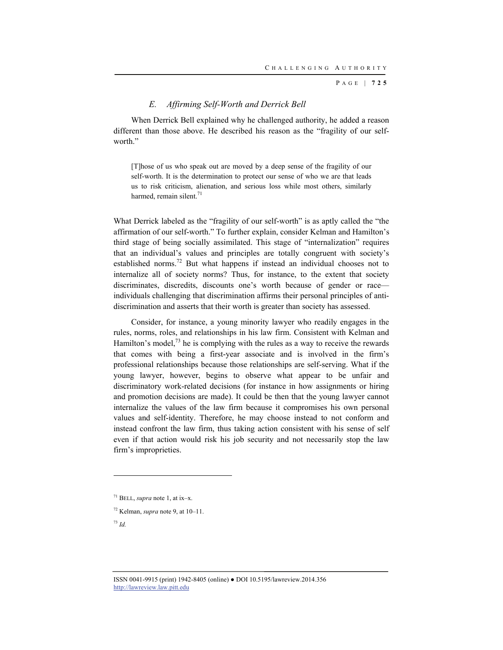## *E. Affirming Self-Worth and Derrick Bell*

When Derrick Bell explained why he challenged authority, he added a reason different than those above. He described his reason as the "fragility of our selfworth."

[T]hose of us who speak out are moved by a deep sense of the fragility of our self-worth. It is the determination to protect our sense of who we are that leads us to risk criticism, alienation, and serious loss while most others, similarly harmed, remain silent. $71$ 

What Derrick labeled as the "fragility of our self-worth" is as aptly called the "the affirmation of our self-worth." To further explain, consider Kelman and Hamilton's third stage of being socially assimilated. This stage of "internalization" requires that an individual's values and principles are totally congruent with society's established norms.72 But what happens if instead an individual chooses not to internalize all of society norms? Thus, for instance, to the extent that society discriminates, discredits, discounts one's worth because of gender or race individuals challenging that discrimination affirms their personal principles of antidiscrimination and asserts that their worth is greater than society has assessed.

Consider, for instance, a young minority lawyer who readily engages in the rules, norms, roles, and relationships in his law firm. Consistent with Kelman and Hamilton's model, $^{73}$  he is complying with the rules as a way to receive the rewards that comes with being a first-year associate and is involved in the firm's professional relationships because those relationships are self-serving. What if the young lawyer, however, begins to observe what appear to be unfair and discriminatory work-related decisions (for instance in how assignments or hiring and promotion decisions are made). It could be then that the young lawyer cannot internalize the values of the law firm because it compromises his own personal values and self-identity. Therefore, he may choose instead to not conform and instead confront the law firm, thus taking action consistent with his sense of self even if that action would risk his job security and not necessarily stop the law firm's improprieties.

72 Kelman, *supra* note 9, at 10–11.

<sup>71</sup> BELL, *supra* note 1, at ix–x.

<sup>73</sup> *Id.*

ISSN 0041-9915 (print) 1942-8405 (online) ● DOI 10.5195/lawreview.2014.356 http://lawreview.law.pitt.edu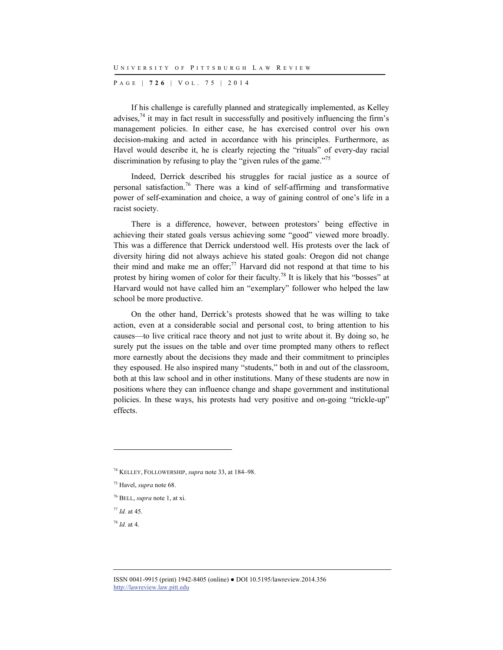P AGE | **726** | V O L . 7 5 | 2014

If his challenge is carefully planned and strategically implemented, as Kelley advises, $74$  it may in fact result in successfully and positively influencing the firm's management policies. In either case, he has exercised control over his own decision-making and acted in accordance with his principles. Furthermore, as Havel would describe it, he is clearly rejecting the "rituals" of every-day racial discrimination by refusing to play the "given rules of the game."<sup>75</sup>

Indeed, Derrick described his struggles for racial justice as a source of personal satisfaction.<sup>76</sup> There was a kind of self-affirming and transformative power of self-examination and choice, a way of gaining control of one's life in a racist society.

There is a difference, however, between protestors' being effective in achieving their stated goals versus achieving some "good" viewed more broadly. This was a difference that Derrick understood well. His protests over the lack of diversity hiring did not always achieve his stated goals: Oregon did not change their mind and make me an offer;<sup>77</sup> Harvard did not respond at that time to his protest by hiring women of color for their faculty.<sup>78</sup> It is likely that his "bosses" at Harvard would not have called him an "exemplary" follower who helped the law school be more productive.

On the other hand, Derrick's protests showed that he was willing to take action, even at a considerable social and personal cost, to bring attention to his causes—to live critical race theory and not just to write about it. By doing so, he surely put the issues on the table and over time prompted many others to reflect more earnestly about the decisions they made and their commitment to principles they espoused. He also inspired many "students," both in and out of the classroom, both at this law school and in other institutions. Many of these students are now in positions where they can influence change and shape government and institutional policies. In these ways, his protests had very positive and on-going "trickle-up" effects.

<sup>78</sup> *Id.* at 4.

<sup>74</sup> KELLEY, FOLLOWERSHIP, *supra* note 33, at 184–98.

<sup>75</sup> Havel, *supra* note 68.

<sup>76</sup> BELL, *supra* note 1, at xi.

<sup>77</sup> *Id.* at 45.

ISSN 0041-9915 (print) 1942-8405 (online) ● DOI 10.5195/lawreview.2014.356 http://lawreview.law.pitt.edu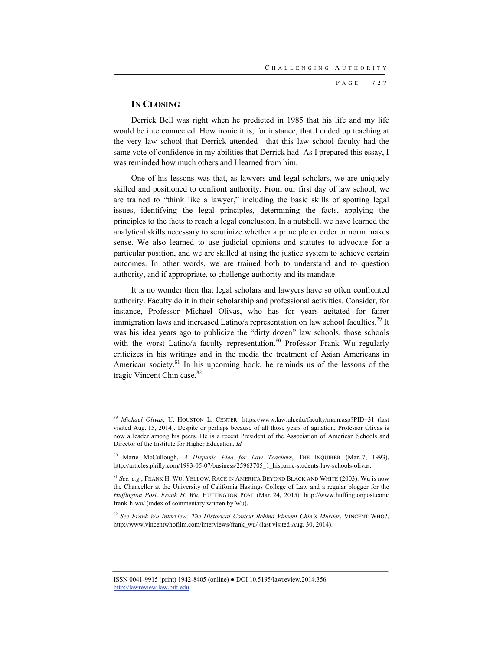### **IN CLOSING**

l

Derrick Bell was right when he predicted in 1985 that his life and my life would be interconnected. How ironic it is, for instance, that I ended up teaching at the very law school that Derrick attended—that this law school faculty had the same vote of confidence in my abilities that Derrick had. As I prepared this essay, I was reminded how much others and I learned from him.

One of his lessons was that, as lawyers and legal scholars, we are uniquely skilled and positioned to confront authority. From our first day of law school, we are trained to "think like a lawyer," including the basic skills of spotting legal issues, identifying the legal principles, determining the facts, applying the principles to the facts to reach a legal conclusion. In a nutshell, we have learned the analytical skills necessary to scrutinize whether a principle or order or norm makes sense. We also learned to use judicial opinions and statutes to advocate for a particular position, and we are skilled at using the justice system to achieve certain outcomes. In other words, we are trained both to understand and to question authority, and if appropriate, to challenge authority and its mandate.

It is no wonder then that legal scholars and lawyers have so often confronted authority. Faculty do it in their scholarship and professional activities. Consider, for instance, Professor Michael Olivas, who has for years agitated for fairer immigration laws and increased Latino/a representation on law school faculties.<sup>79</sup> It was his idea years ago to publicize the "dirty dozen" law schools, those schools with the worst Latino/a faculty representation.<sup>80</sup> Professor Frank Wu regularly criticizes in his writings and in the media the treatment of Asian Americans in American society.<sup>81</sup> In his upcoming book, he reminds us of the lessons of the tragic Vincent Chin case.<sup>82</sup>

<sup>79</sup> *Michael Olivas*, U. HOUSTON L. CENTER, https://www.law.uh.edu/faculty/main.asp?PID=31 (last visited Aug. 15, 2014). Despite or perhaps because of all those years of agitation, Professor Olivas is now a leader among his peers. He is a recent President of the Association of American Schools and Director of the Institute for Higher Education. *Id.*

<sup>80</sup> Marie McCullough, *A Hispanic Plea for Law Teachers*, THE INQUIRER (Mar. 7, 1993), http://articles.philly.com/1993-05-07/business/25963705\_1\_hispanic-students-law-schools-olivas.

<sup>81</sup> *See, e.g.*, FRANK H. WU, YELLOW: RACE IN AMERICA BEYOND BLACK AND WHITE (2003). Wu is now the Chancellor at the University of California Hastings College of Law and a regular blogger for the *Huffington Post*. *Frank H. Wu*, HUFFINGTON POST (Mar. 24, 2015), http://www.huffingtonpost.com/ frank-h-wu/ (index of commentary written by Wu).

<sup>82</sup> *See Frank Wu Interview: The Historical Context Behind Vincent Chin's Murder*, VINCENT WHO?, http://www.vincentwhofilm.com/interviews/frank\_wu/ (last visited Aug. 30, 2014).